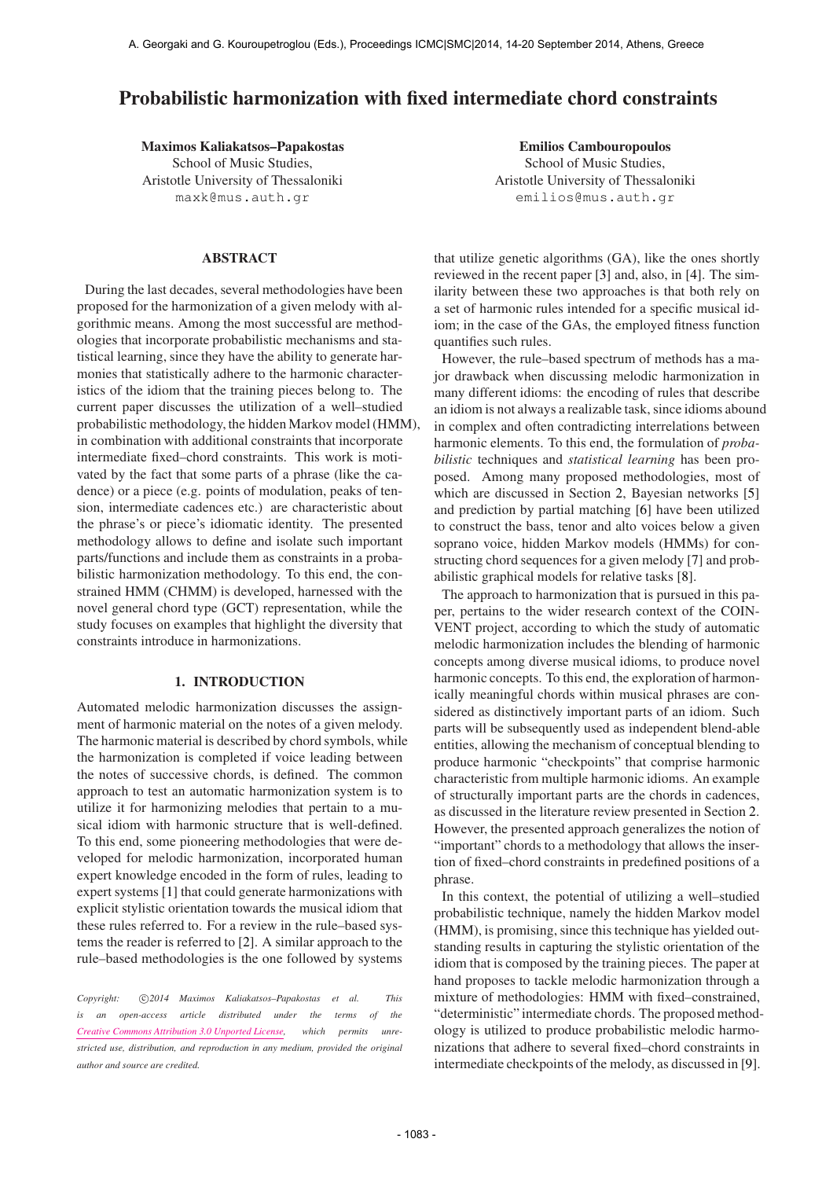# Probabilistic harmonization with fixed intermediate chord constraints

Maximos Kaliakatsos–Papakostas School of Music Studies, Aristotle University of Thessaloniki [maxk@mus.auth.gr](mailto:maxk@mus.auth.gr)

# ABSTRACT

During the last decades, several methodologies have been proposed for the harmonization of a given melody with algorithmic means. Among the most successful are methodologies that incorporate probabilistic mechanisms and statistical learning, since they have the ability to generate harmonies that statistically adhere to the harmonic characteristics of the idiom that the training pieces belong to. The current paper discusses the utilization of a well–studied probabilistic methodology, the hidden Markov model (HMM), in combination with additional constraints that incorporate intermediate fixed–chord constraints. This work is motivated by the fact that some parts of a phrase (like the cadence) or a piece (e.g. points of modulation, peaks of tension, intermediate cadences etc.) are characteristic about the phrase's or piece's idiomatic identity. The presented methodology allows to define and isolate such important parts/functions and include them as constraints in a probabilistic harmonization methodology. To this end, the constrained HMM (CHMM) is developed, harnessed with the novel general chord type (GCT) representation, while the study focuses on examples that highlight the diversity that constraints introduce in harmonizations.

# 1. INTRODUCTION

Automated melodic harmonization discusses the assignment of harmonic material on the notes of a given melody. The harmonic material is described by chord symbols, while the harmonization is completed if voice leading between the notes of successive chords, is defined. The common approach to test an automatic harmonization system is to utilize it for harmonizing melodies that pertain to a musical idiom with harmonic structure that is well-defined. To this end, some pioneering methodologies that were developed for melodic harmonization, incorporated human expert knowledge encoded in the form of rules, leading to expert systems [1] that could generate harmonizations with explicit stylistic orientation towards the musical idiom that these rules referred to. For a review in the rule–based systems the reader is referred to [2]. A similar approach to the rule–based methodologies is the one followed by systems

Copyright:  $\bigcirc$ 2014 Maximos Kaliakatsos-Papakostas et al. This *is an open-access article distributed under the terms of the [Creative Commons Attribution 3.0 Unported License,](http://creativecommons.org/licenses/by/3.0/) which permits unrestricted use, distribution, and reproduction in any medium, provided the original author and source are credited.*

Emilios Cambouropoulos School of Music Studies, Aristotle University of Thessaloniki [emilios@mus.auth.gr](mailto:emilios@mus.auth.gr)

that utilize genetic algorithms (GA), like the ones shortly reviewed in the recent paper [3] and, also, in [4]. The similarity between these two approaches is that both rely on a set of harmonic rules intended for a specific musical idiom; in the case of the GAs, the employed fitness function quantifies such rules.

However, the rule–based spectrum of methods has a major drawback when discussing melodic harmonization in many different idioms: the encoding of rules that describe an idiom is not always a realizable task, since idioms abound in complex and often contradicting interrelations between harmonic elements. To this end, the formulation of *probabilistic* techniques and *statistical learning* has been proposed. Among many proposed methodologies, most of which are discussed in Section 2, Bayesian networks [5] and prediction by partial matching [6] have been utilized to construct the bass, tenor and alto voices below a given soprano voice, hidden Markov models (HMMs) for constructing chord sequences for a given melody [7] and probabilistic graphical models for relative tasks [8].

The approach to harmonization that is pursued in this paper, pertains to the wider research context of the COIN-VENT project, according to which the study of automatic melodic harmonization includes the blending of harmonic concepts among diverse musical idioms, to produce novel harmonic concepts. To this end, the exploration of harmonically meaningful chords within musical phrases are considered as distinctively important parts of an idiom. Such parts will be subsequently used as independent blend-able entities, allowing the mechanism of conceptual blending to produce harmonic "checkpoints" that comprise harmonic characteristic from multiple harmonic idioms. An example of structurally important parts are the chords in cadences, as discussed in the literature review presented in Section 2. However, the presented approach generalizes the notion of "important" chords to a methodology that allows the insertion of fixed–chord constraints in predefined positions of a phrase.

In this context, the potential of utilizing a well–studied probabilistic technique, namely the hidden Markov model (HMM), is promising, since this technique has yielded outstanding results in capturing the stylistic orientation of the idiom that is composed by the training pieces. The paper at hand proposes to tackle melodic harmonization through a mixture of methodologies: HMM with fixed–constrained, "deterministic" intermediate chords. The proposed methodology is utilized to produce probabilistic melodic harmonizations that adhere to several fixed–chord constraints in intermediate checkpoints of the melody, as discussed in [9].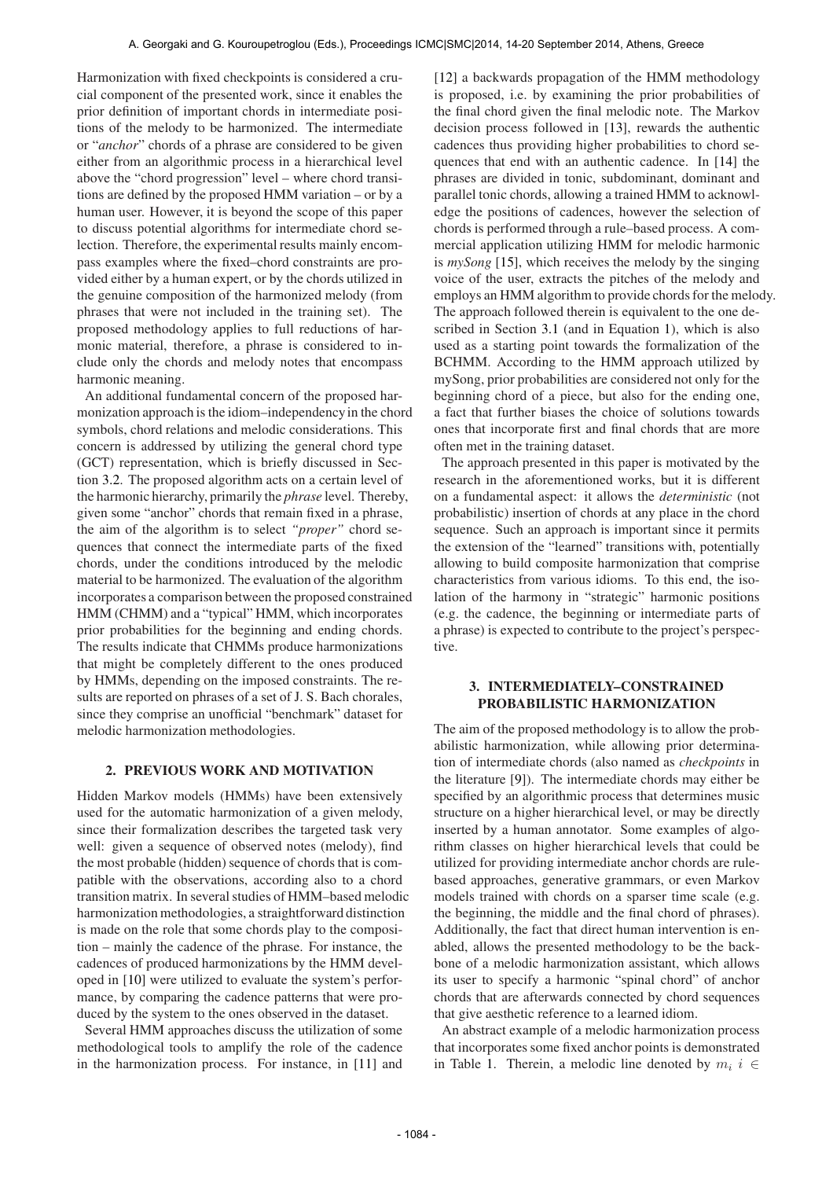Harmonization with fixed checkpoints is considered a crucial component of the presented work, since it enables the prior definition of important chords in intermediate positions of the melody to be harmonized. The intermediate or "*anchor*" chords of a phrase are considered to be given either from an algorithmic process in a hierarchical level above the "chord progression" level – where chord transitions are defined by the proposed HMM variation – or by a human user. However, it is beyond the scope of this paper to discuss potential algorithms for intermediate chord selection. Therefore, the experimental results mainly encompass examples where the fixed–chord constraints are provided either by a human expert, or by the chords utilized in the genuine composition of the harmonized melody (from phrases that were not included in the training set). The proposed methodology applies to full reductions of harmonic material, therefore, a phrase is considered to include only the chords and melody notes that encompass harmonic meaning.

An additional fundamental concern of the proposed harmonization approach is the idiom–independencyin the chord symbols, chord relations and melodic considerations. This concern is addressed by utilizing the general chord type (GCT) representation, which is briefly discussed in Section 3.2. The proposed algorithm acts on a certain level of the harmonic hierarchy, primarily the *phrase* level. Thereby, given some "anchor" chords that remain fixed in a phrase, the aim of the algorithm is to select *"proper"* chord sequences that connect the intermediate parts of the fixed chords, under the conditions introduced by the melodic material to be harmonized. The evaluation of the algorithm incorporates a comparison between the proposed constrained HMM (CHMM) and a "typical" HMM, which incorporates prior probabilities for the beginning and ending chords. The results indicate that CHMMs produce harmonizations that might be completely different to the ones produced by HMMs, depending on the imposed constraints. The results are reported on phrases of a set of J. S. Bach chorales, since they comprise an unofficial "benchmark" dataset for melodic harmonization methodologies.

#### 2. PREVIOUS WORK AND MOTIVATION

Hidden Markov models (HMMs) have been extensively used for the automatic harmonization of a given melody, since their formalization describes the targeted task very well: given a sequence of observed notes (melody), find the most probable (hidden) sequence of chords that is compatible with the observations, according also to a chord transition matrix. In several studies of HMM–based melodic harmonization methodologies, a straightforward distinction is made on the role that some chords play to the composition – mainly the cadence of the phrase. For instance, the cadences of produced harmonizations by the HMM developed in [10] were utilized to evaluate the system's performance, by comparing the cadence patterns that were produced by the system to the ones observed in the dataset.

Several HMM approaches discuss the utilization of some methodological tools to amplify the role of the cadence in the harmonization process. For instance, in [11] and [12] a backwards propagation of the HMM methodology is proposed, i.e. by examining the prior probabilities of the final chord given the final melodic note. The Markov decision process followed in [13], rewards the authentic cadences thus providing higher probabilities to chord sequences that end with an authentic cadence. In [14] the phrases are divided in tonic, subdominant, dominant and parallel tonic chords, allowing a trained HMM to acknowledge the positions of cadences, however the selection of chords is performed through a rule–based process. A commercial application utilizing HMM for melodic harmonic is *mySong* [15], which receives the melody by the singing voice of the user, extracts the pitches of the melody and employs an HMM algorithm to provide chords for the melody. The approach followed therein is equivalent to the one described in Section 3.1 (and in Equation 1), which is also used as a starting point towards the formalization of the BCHMM. According to the HMM approach utilized by mySong, prior probabilities are considered not only for the beginning chord of a piece, but also for the ending one, a fact that further biases the choice of solutions towards ones that incorporate first and final chords that are more often met in the training dataset.

The approach presented in this paper is motivated by the research in the aforementioned works, but it is different on a fundamental aspect: it allows the *deterministic* (not probabilistic) insertion of chords at any place in the chord sequence. Such an approach is important since it permits the extension of the "learned" transitions with, potentially allowing to build composite harmonization that comprise characteristics from various idioms. To this end, the isolation of the harmony in "strategic" harmonic positions (e.g. the cadence, the beginning or intermediate parts of a phrase) is expected to contribute to the project's perspective.

# 3. INTERMEDIATELY–CONSTRAINED PROBABILISTIC HARMONIZATION

The aim of the proposed methodology is to allow the probabilistic harmonization, while allowing prior determination of intermediate chords (also named as *checkpoints* in the literature [9]). The intermediate chords may either be specified by an algorithmic process that determines music structure on a higher hierarchical level, or may be directly inserted by a human annotator. Some examples of algorithm classes on higher hierarchical levels that could be utilized for providing intermediate anchor chords are rulebased approaches, generative grammars, or even Markov models trained with chords on a sparser time scale (e.g. the beginning, the middle and the final chord of phrases). Additionally, the fact that direct human intervention is enabled, allows the presented methodology to be the backbone of a melodic harmonization assistant, which allows its user to specify a harmonic "spinal chord" of anchor chords that are afterwards connected by chord sequences that give aesthetic reference to a learned idiom.

An abstract example of a melodic harmonization process that incorporates some fixed anchor points is demonstrated in Table 1. Therein, a melodic line denoted by  $m_i$  i ∈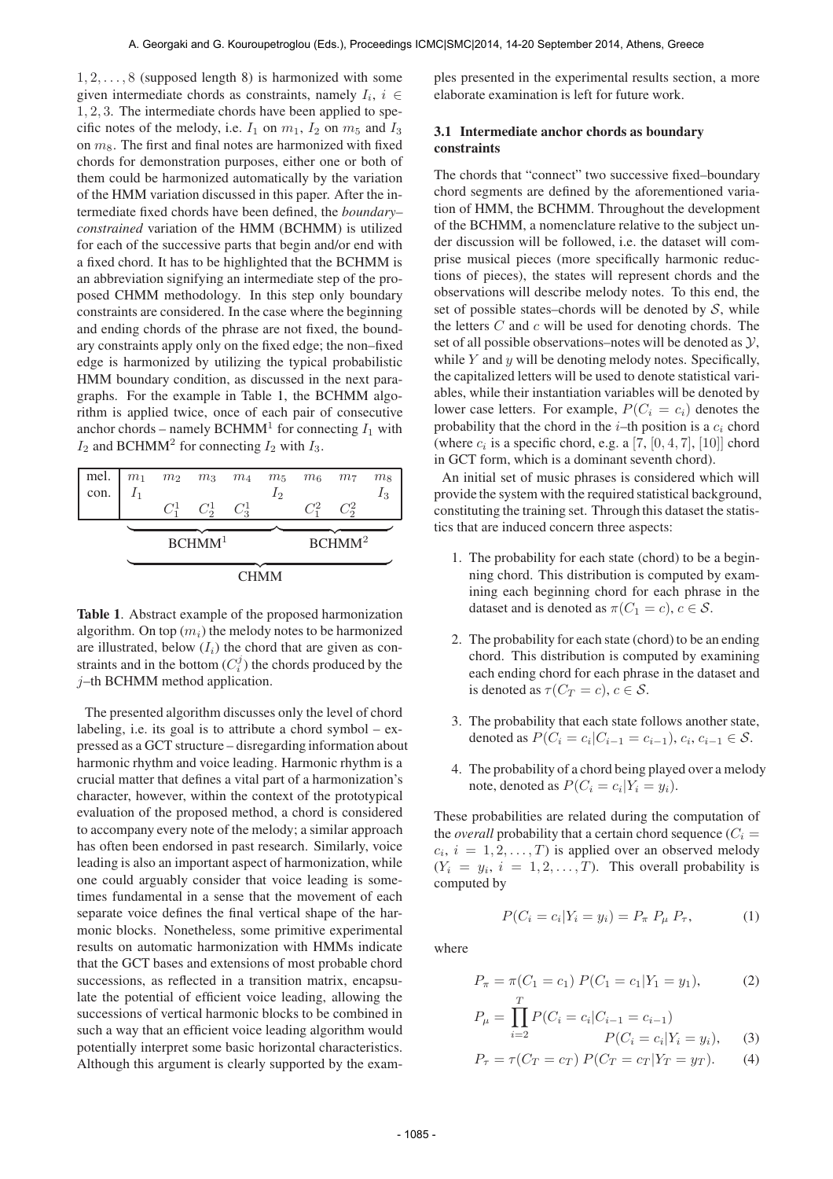$1, 2, \ldots, 8$  (supposed length 8) is harmonized with some given intermediate chords as constraints, namely  $I_i$ ,  $i \in$ 1, 2, 3. The intermediate chords have been applied to specific notes of the melody, i.e.  $I_1$  on  $m_1$ ,  $I_2$  on  $m_5$  and  $I_3$ on  $m_8$ . The first and final notes are harmonized with fixed chords for demonstration purposes, either one or both of them could be harmonized automatically by the variation of the HMM variation discussed in this paper. After the intermediate fixed chords have been defined, the *boundary– constrained* variation of the HMM (BCHMM) is utilized for each of the successive parts that begin and/or end with a fixed chord. It has to be highlighted that the BCHMM is an abbreviation signifying an intermediate step of the proposed CHMM methodology. In this step only boundary constraints are considered. In the case where the beginning and ending chords of the phrase are not fixed, the boundary constraints apply only on the fixed edge; the non–fixed edge is harmonized by utilizing the typical probabilistic HMM boundary condition, as discussed in the next paragraphs. For the example in Table 1, the BCHMM algorithm is applied twice, once of each pair of consecutive anchor chords – namely BCHMM<sup>1</sup> for connecting  $I_1$  with  $I_2$  and BCHMM<sup>2</sup> for connecting  $I_2$  with  $I_3$ .

| mel. $m_1$ |       |                    | $m_2$ $m_3$ $m_4$ |  | $m_5$              | m <sub>6</sub> | m <sub>7</sub> | m <sub>8</sub> |
|------------|-------|--------------------|-------------------|--|--------------------|----------------|----------------|----------------|
| con.       | $I_1$ |                    |                   |  | $I_2$              |                |                | $I_3$          |
|            |       | $C^1$              | $C_2^1$ $C_3^1$   |  |                    | $C^2$          | $C_2^2$        |                |
|            |       |                    |                   |  |                    |                |                |                |
|            |       | BCHMM <sup>1</sup> |                   |  | BCHMM <sup>2</sup> |                |                |                |
|            |       |                    |                   |  |                    |                |                |                |
|            |       |                    |                   |  |                    |                |                |                |

Table 1. Abstract example of the proposed harmonization algorithm. On top  $(m_i)$  the melody notes to be harmonized are illustrated, below  $(I_i)$  the chord that are given as constraints and in the bottom  $(C_i^j)$  the chords produced by the j–th BCHMM method application.

The presented algorithm discusses only the level of chord labeling, i.e. its goal is to attribute a chord symbol  $-$  expressed as a GCT structure – disregarding information about harmonic rhythm and voice leading. Harmonic rhythm is a crucial matter that defines a vital part of a harmonization's character, however, within the context of the prototypical evaluation of the proposed method, a chord is considered to accompany every note of the melody; a similar approach has often been endorsed in past research. Similarly, voice leading is also an important aspect of harmonization, while one could arguably consider that voice leading is sometimes fundamental in a sense that the movement of each separate voice defines the final vertical shape of the harmonic blocks. Nonetheless, some primitive experimental results on automatic harmonization with HMMs indicate that the GCT bases and extensions of most probable chord successions, as reflected in a transition matrix, encapsulate the potential of efficient voice leading, allowing the successions of vertical harmonic blocks to be combined in such a way that an efficient voice leading algorithm would potentially interpret some basic horizontal characteristics. Although this argument is clearly supported by the examples presented in the experimental results section, a more elaborate examination is left for future work.

# 3.1 Intermediate anchor chords as boundary constraints

The chords that "connect" two successive fixed–boundary chord segments are defined by the aforementioned variation of HMM, the BCHMM. Throughout the development of the BCHMM, a nomenclature relative to the subject under discussion will be followed, i.e. the dataset will comprise musical pieces (more specifically harmonic reductions of pieces), the states will represent chords and the observations will describe melody notes. To this end, the set of possible states–chords will be denoted by  $S$ , while the letters  $C$  and  $c$  will be used for denoting chords. The set of all possible observations–notes will be denoted as  $\mathcal{Y}$ , while  $Y$  and  $y$  will be denoting melody notes. Specifically, the capitalized letters will be used to denote statistical variables, while their instantiation variables will be denoted by lower case letters. For example,  $P(C_i = c_i)$  denotes the probability that the chord in the  $i$ –th position is a  $c_i$  chord (where  $c_i$  is a specific chord, e.g. a [7,  $[0, 4, 7]$ ,  $[10]$ ] chord in GCT form, which is a dominant seventh chord).

An initial set of music phrases is considered which will provide the system with the required statistical background, constituting the training set. Through this dataset the statistics that are induced concern three aspects:

- 1. The probability for each state (chord) to be a beginning chord. This distribution is computed by examining each beginning chord for each phrase in the dataset and is denoted as  $\pi(C_1 = c)$ ,  $c \in \mathcal{S}$ .
- 2. The probability for each state (chord) to be an ending chord. This distribution is computed by examining each ending chord for each phrase in the dataset and is denoted as  $\tau(C_T = c), c \in \mathcal{S}$ .
- 3. The probability that each state follows another state, denoted as  $P(C_i = c_i | C_{i-1} = c_{i-1}), c_i, c_{i-1} \in S$ .
- 4. The probability of a chord being played over a melody note, denoted as  $P(C_i = c_i | Y_i = y_i)$ .

These probabilities are related during the computation of the *overall* probability that a certain chord sequence  $(C_i =$  $c_i$ ,  $i = 1, 2, \dots, T$ ) is applied over an observed melody  $(Y_i = y_i, i = 1, 2, \dots, T)$ . This overall probability is computed by

$$
P(C_i = c_i | Y_i = y_i) = P_{\pi} P_{\mu} P_{\tau}, \qquad (1)
$$

where

$$
P_{\pi} = \pi(C_1 = c_1) P(C_1 = c_1 | Y_1 = y_1), \tag{2}
$$

$$
P_{\mu} = \prod_{i=2}^{T} P(C_i = c_i | C_{i-1} = c_{i-1})
$$
  

$$
P(C_i = c_i | Y_i = y_i)
$$
 (3)

$$
P(C_i = c_i | Y_i = y_i), \qquad (3)
$$

$$
P_{\tau} = \tau(C_T = c_T) \, P(C_T = c_T | Y_T = y_T). \tag{4}
$$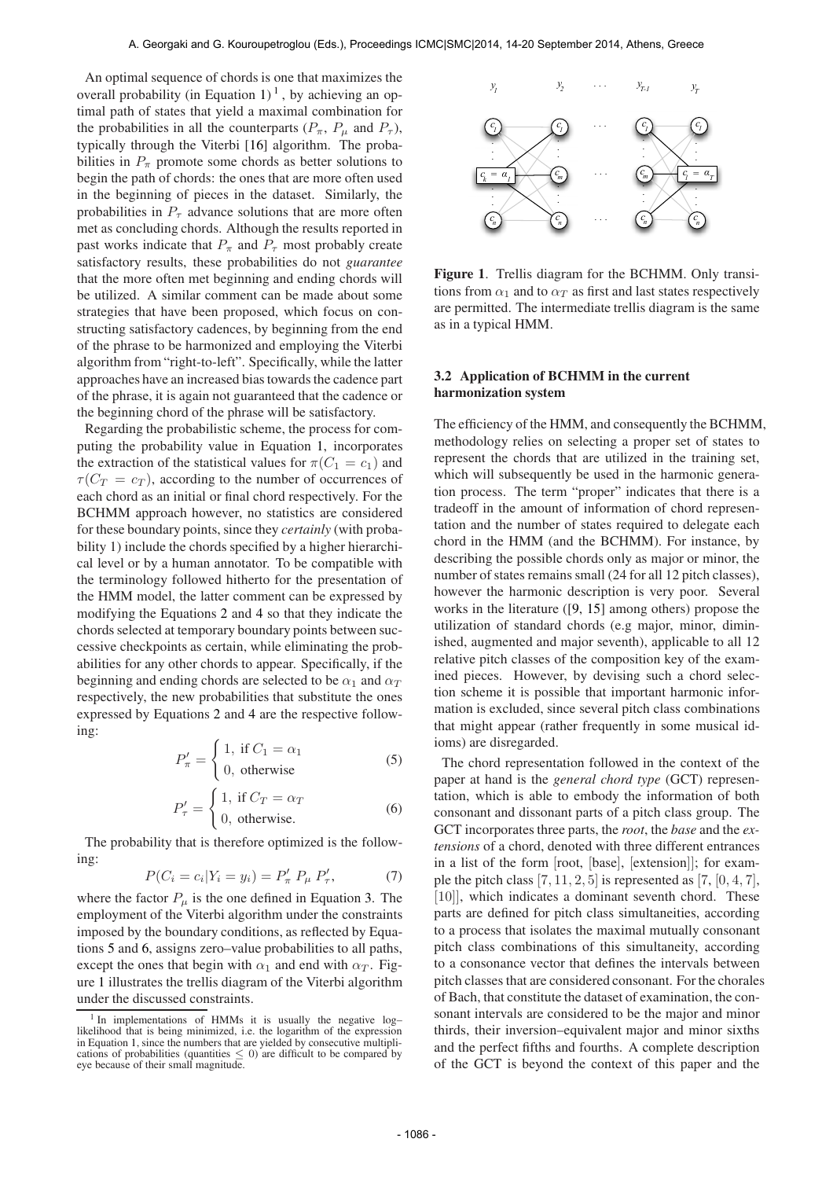An optimal sequence of chords is one that maximizes the overall probability (in Equation 1)<sup>1</sup>, by achieving an optimal path of states that yield a maximal combination for the probabilities in all the counterparts  $(P_{\pi}, P_{\mu}$  and  $P_{\tau}$ ), typically through the Viterbi [16] algorithm. The probabilities in  $P_{\pi}$  promote some chords as better solutions to begin the path of chords: the ones that are more often used in the beginning of pieces in the dataset. Similarly, the probabilities in  $P_{\tau}$  advance solutions that are more often met as concluding chords. Although the results reported in past works indicate that  $P_{\pi}$  and  $P_{\tau}$  most probably create satisfactory results, these probabilities do not *guarantee* that the more often met beginning and ending chords will be utilized. A similar comment can be made about some strategies that have been proposed, which focus on constructing satisfactory cadences, by beginning from the end of the phrase to be harmonized and employing the Viterbi algorithm from "right-to-left". Specifically, while the latter approaches have an increased bias towards the cadence part of the phrase, it is again not guaranteed that the cadence or the beginning chord of the phrase will be satisfactory.

Regarding the probabilistic scheme, the process for computing the probability value in Equation 1, incorporates the extraction of the statistical values for  $\pi(C_1 = c_1)$  and  $\tau(C_T = c_T)$ , according to the number of occurrences of each chord as an initial or final chord respectively. For the BCHMM approach however, no statistics are considered for these boundary points, since they *certainly* (with probability 1) include the chords specified by a higher hierarchical level or by a human annotator. To be compatible with the terminology followed hitherto for the presentation of the HMM model, the latter comment can be expressed by modifying the Equations 2 and 4 so that they indicate the chords selected at temporary boundary points between successive checkpoints as certain, while eliminating the probabilities for any other chords to appear. Specifically, if the beginning and ending chords are selected to be  $\alpha_1$  and  $\alpha_T$ respectively, the new probabilities that substitute the ones expressed by Equations 2 and 4 are the respective following:

$$
P'_{\pi} = \begin{cases} 1, & \text{if } C_1 = \alpha_1 \\ 0, & \text{otherwise} \end{cases}
$$
 (5)

$$
P'_{\tau} = \begin{cases} 1, & \text{if } C_T = \alpha_T \\ 0, & \text{otherwise.} \end{cases}
$$
 (6)

The probability that is therefore optimized is the following:

$$
P(C_i = c_i | Y_i = y_i) = P'_{\pi} P_{\mu} P'_{\tau}, \tag{7}
$$

where the factor  $P_{\mu}$  is the one defined in Equation 3. The employment of the Viterbi algorithm under the constraints imposed by the boundary conditions, as reflected by Equations 5 and 6, assigns zero–value probabilities to all paths, except the ones that begin with  $\alpha_1$  and end with  $\alpha_T$ . Figure 1 illustrates the trellis diagram of the Viterbi algorithm under the discussed constraints.



Figure 1. Trellis diagram for the BCHMM. Only transitions from  $\alpha_1$  and to  $\alpha_T$  as first and last states respectively are permitted. The intermediate trellis diagram is the same as in a typical HMM.

#### 3.2 Application of BCHMM in the current harmonization system

The efficiency of the HMM, and consequently the BCHMM, methodology relies on selecting a proper set of states to represent the chords that are utilized in the training set, which will subsequently be used in the harmonic generation process. The term "proper" indicates that there is a tradeoff in the amount of information of chord representation and the number of states required to delegate each chord in the HMM (and the BCHMM). For instance, by describing the possible chords only as major or minor, the number of states remains small (24 for all 12 pitch classes), however the harmonic description is very poor. Several works in the literature ([9, 15] among others) propose the utilization of standard chords (e.g major, minor, diminished, augmented and major seventh), applicable to all 12 relative pitch classes of the composition key of the examined pieces. However, by devising such a chord selection scheme it is possible that important harmonic information is excluded, since several pitch class combinations that might appear (rather frequently in some musical idioms) are disregarded.

The chord representation followed in the context of the paper at hand is the *general chord type* (GCT) representation, which is able to embody the information of both consonant and dissonant parts of a pitch class group. The GCT incorporates three parts, the *root*, the *base* and the *extensions* of a chord, denoted with three different entrances in a list of the form [root, [base], [extension]]; for example the pitch class  $[7, 11, 2, 5]$  is represented as  $[7, [0, 4, 7]$ , [10]], which indicates a dominant seventh chord. These parts are defined for pitch class simultaneities, according to a process that isolates the maximal mutually consonant pitch class combinations of this simultaneity, according to a consonance vector that defines the intervals between pitch classes that are considered consonant. For the chorales of Bach, that constitute the dataset of examination, the consonant intervals are considered to be the major and minor thirds, their inversion–equivalent major and minor sixths and the perfect fifths and fourths. A complete description of the GCT is beyond the context of this paper and the

<sup>&</sup>lt;sup>1</sup> In implementations of HMMs it is usually the negative loglikelihood that is being minimized, i.e. the logarithm of the expression in Equation 1, since the numbers that are yielded by consecutive multiplications of probabilities (quantities  $\leq 0$ ) are difficult to be compared by eye because of their small magnitude.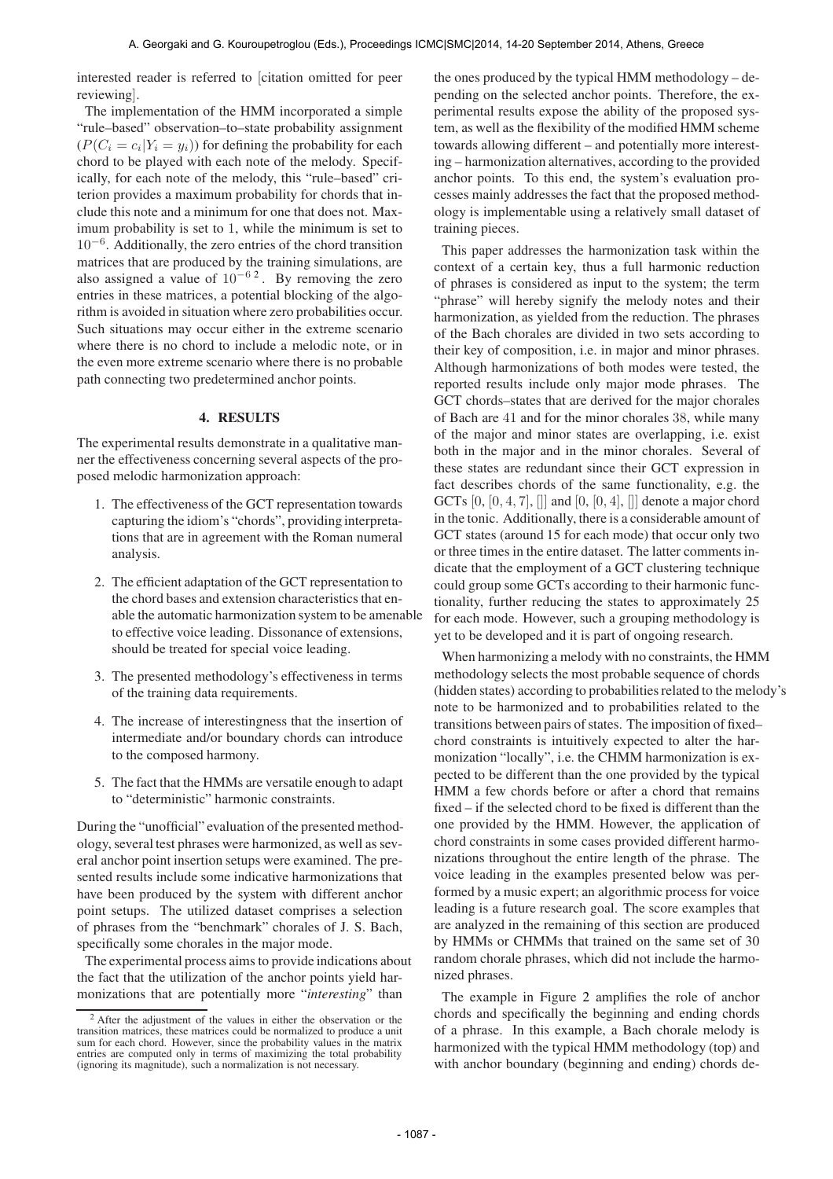interested reader is referred to [citation omitted for peer reviewing].

The implementation of the HMM incorporated a simple "rule–based" observation–to–state probability assignment  $(P(C_i = c_i | Y_i = y_i))$  for defining the probability for each chord to be played with each note of the melody. Specifically, for each note of the melody, this "rule–based" criterion provides a maximum probability for chords that include this note and a minimum for one that does not. Maximum probability is set to 1, while the minimum is set to 10−<sup>6</sup> . Additionally, the zero entries of the chord transition matrices that are produced by the training simulations, are also assigned a value of  $10^{-6}$ <sup>2</sup>. By removing the zero entries in these matrices, a potential blocking of the algorithm is avoided in situation where zero probabilities occur. Such situations may occur either in the extreme scenario where there is no chord to include a melodic note, or in the even more extreme scenario where there is no probable path connecting two predetermined anchor points.

#### 4. RESULTS

The experimental results demonstrate in a qualitative manner the effectiveness concerning several aspects of the proposed melodic harmonization approach:

- 1. The effectiveness of the GCT representation towards capturing the idiom's "chords", providing interpretations that are in agreement with the Roman numeral analysis.
- 2. The efficient adaptation of the GCT representation to the chord bases and extension characteristics that enable the automatic harmonization system to be amenable to effective voice leading. Dissonance of extensions, should be treated for special voice leading.
- 3. The presented methodology's effectiveness in terms of the training data requirements.
- 4. The increase of interestingness that the insertion of intermediate and/or boundary chords can introduce to the composed harmony.
- 5. The fact that the HMMs are versatile enough to adapt to "deterministic" harmonic constraints.

During the "unofficial" evaluation of the presented methodology, several test phrases were harmonized, as well as several anchor point insertion setups were examined. The presented results include some indicative harmonizations that have been produced by the system with different anchor point setups. The utilized dataset comprises a selection of phrases from the "benchmark" chorales of J. S. Bach, specifically some chorales in the major mode.

The experimental process aims to provide indications about the fact that the utilization of the anchor points yield harmonizations that are potentially more "*interesting*" than

the ones produced by the typical HMM methodology – depending on the selected anchor points. Therefore, the experimental results expose the ability of the proposed system, as well as the flexibility of the modified HMM scheme towards allowing different – and potentially more interesting – harmonization alternatives, according to the provided anchor points. To this end, the system's evaluation processes mainly addresses the fact that the proposed methodology is implementable using a relatively small dataset of training pieces.

This paper addresses the harmonization task within the context of a certain key, thus a full harmonic reduction of phrases is considered as input to the system; the term "phrase" will hereby signify the melody notes and their harmonization, as yielded from the reduction. The phrases of the Bach chorales are divided in two sets according to their key of composition, i.e. in major and minor phrases. Although harmonizations of both modes were tested, the reported results include only major mode phrases. The GCT chords–states that are derived for the major chorales of Bach are 41 and for the minor chorales 38, while many of the major and minor states are overlapping, i.e. exist both in the major and in the minor chorales. Several of these states are redundant since their GCT expression in fact describes chords of the same functionality, e.g. the GCTs  $[0, [0, 4, 7], ]$  and  $[0, [0, 4], ]$  denote a major chord in the tonic. Additionally, there is a considerable amount of GCT states (around 15 for each mode) that occur only two or three times in the entire dataset. The latter comments indicate that the employment of a GCT clustering technique could group some GCTs according to their harmonic functionality, further reducing the states to approximately 25 for each mode. However, such a grouping methodology is yet to be developed and it is part of ongoing research.

When harmonizing a melody with no constraints, the HMM methodology selects the most probable sequence of chords (hidden states) according to probabilities related to the melody's note to be harmonized and to probabilities related to the transitions between pairs of states. The imposition of fixed– chord constraints is intuitively expected to alter the harmonization "locally", i.e. the CHMM harmonization is expected to be different than the one provided by the typical HMM a few chords before or after a chord that remains fixed – if the selected chord to be fixed is different than the one provided by the HMM. However, the application of chord constraints in some cases provided different harmonizations throughout the entire length of the phrase. The voice leading in the examples presented below was performed by a music expert; an algorithmic process for voice leading is a future research goal. The score examples that are analyzed in the remaining of this section are produced by HMMs or CHMMs that trained on the same set of 30 random chorale phrases, which did not include the harmonized phrases.

The example in Figure 2 amplifies the role of anchor chords and specifically the beginning and ending chords of a phrase. In this example, a Bach chorale melody is harmonized with the typical HMM methodology (top) and with anchor boundary (beginning and ending) chords de-

<sup>&</sup>lt;sup>2</sup> After the adjustment of the values in either the observation or the transition matrices, these matrices could be normalized to produce a unit sum for each chord. However, since the probability values in the matrix entries are computed only in terms of maximizing the total probability (ignoring its magnitude), such a normalization is not necessary.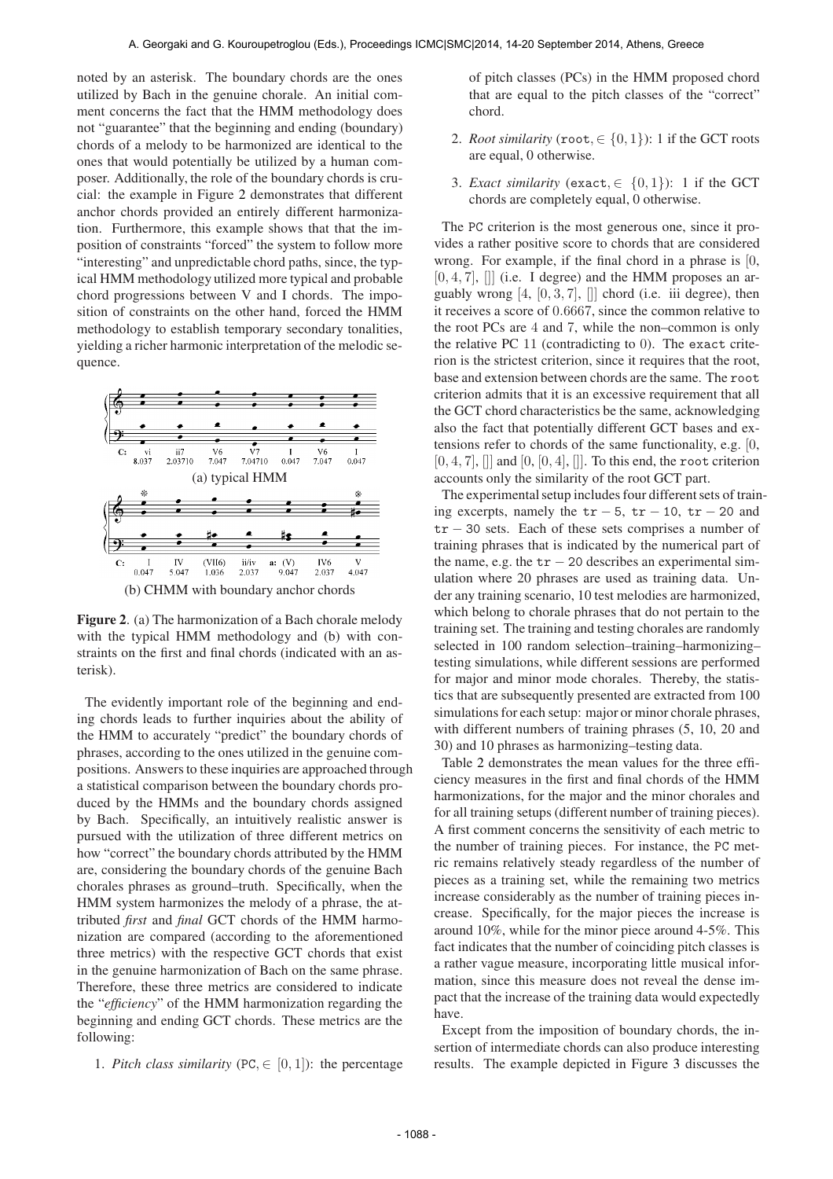noted by an asterisk. The boundary chords are the ones utilized by Bach in the genuine chorale. An initial comment concerns the fact that the HMM methodology does not "guarantee" that the beginning and ending (boundary) chords of a melody to be harmonized are identical to the ones that would potentially be utilized by a human composer. Additionally, the role of the boundary chords is crucial: the example in Figure 2 demonstrates that different anchor chords provided an entirely different harmonization. Furthermore, this example shows that that the imposition of constraints "forced" the system to follow more "interesting" and unpredictable chord paths, since, the typical HMM methodology utilized more typical and probable chord progressions between V and I chords. The imposition of constraints on the other hand, forced the HMM methodology to establish temporary secondary tonalities, yielding a richer harmonic interpretation of the melodic sequence.



Figure 2. (a) The harmonization of a Bach chorale melody with the typical HMM methodology and (b) with constraints on the first and final chords (indicated with an asterisk).

The evidently important role of the beginning and ending chords leads to further inquiries about the ability of the HMM to accurately "predict" the boundary chords of phrases, according to the ones utilized in the genuine compositions. Answers to these inquiries are approached through a statistical comparison between the boundary chords produced by the HMMs and the boundary chords assigned by Bach. Specifically, an intuitively realistic answer is pursued with the utilization of three different metrics on how "correct" the boundary chords attributed by the HMM are, considering the boundary chords of the genuine Bach chorales phrases as ground–truth. Specifically, when the HMM system harmonizes the melody of a phrase, the attributed *first* and *final* GCT chords of the HMM harmonization are compared (according to the aforementioned three metrics) with the respective GCT chords that exist in the genuine harmonization of Bach on the same phrase. Therefore, these three metrics are considered to indicate the "*efficiency*" of the HMM harmonization regarding the beginning and ending GCT chords. These metrics are the following:

1. *Pitch class similarity* (PC,  $\in$  [0, 1]): the percentage

of pitch classes (PCs) in the HMM proposed chord that are equal to the pitch classes of the "correct" chord.

- 2. *Root similarity* (root,  $\in \{0, 1\}$ ): 1 if the GCT roots are equal, 0 otherwise.
- 3. *Exact similarity* (exact,  $\in \{0,1\}$ ): 1 if the GCT chords are completely equal, 0 otherwise.

The PC criterion is the most generous one, since it provides a rather positive score to chords that are considered wrong. For example, if the final chord in a phrase is [0,  $[0, 4, 7]$ ,  $[$ ] (i.e. I degree) and the HMM proposes an arguably wrong  $[4, [0, 3, 7], ]$  chord (i.e. iii degree), then it receives a score of 0.6667, since the common relative to the root PCs are 4 and 7, while the non–common is only the relative PC 11 (contradicting to 0). The exact criterion is the strictest criterion, since it requires that the root, base and extension between chords are the same. The root criterion admits that it is an excessive requirement that all the GCT chord characteristics be the same, acknowledging also the fact that potentially different GCT bases and extensions refer to chords of the same functionality, e.g. [0,  $[0, 4, 7]$ ,  $[[]$  and  $[0, [0, 4]$ ,  $[[]]$ . To this end, the root criterion accounts only the similarity of the root GCT part.

The experimental setup includes four different sets of training excerpts, namely the  $tr - 5$ ,  $tr - 10$ ,  $tr - 20$  and tr − 30 sets. Each of these sets comprises a number of training phrases that is indicated by the numerical part of the name, e.g. the  $tr - 20$  describes an experimental simulation where 20 phrases are used as training data. Under any training scenario, 10 test melodies are harmonized, which belong to chorale phrases that do not pertain to the training set. The training and testing chorales are randomly selected in 100 random selection–training–harmonizing– testing simulations, while different sessions are performed for major and minor mode chorales. Thereby, the statistics that are subsequently presented are extracted from 100 simulations for each setup: major or minor chorale phrases, with different numbers of training phrases  $(5, 10, 20, 20)$ 30) and 10 phrases as harmonizing–testing data.

Table 2 demonstrates the mean values for the three efficiency measures in the first and final chords of the HMM harmonizations, for the major and the minor chorales and for all training setups (different number of training pieces). A first comment concerns the sensitivity of each metric to the number of training pieces. For instance, the PC metric remains relatively steady regardless of the number of pieces as a training set, while the remaining two metrics increase considerably as the number of training pieces increase. Specifically, for the major pieces the increase is around 10%, while for the minor piece around 4-5%. This fact indicates that the number of coinciding pitch classes is a rather vague measure, incorporating little musical information, since this measure does not reveal the dense impact that the increase of the training data would expectedly have.

Except from the imposition of boundary chords, the insertion of intermediate chords can also produce interesting results. The example depicted in Figure 3 discusses the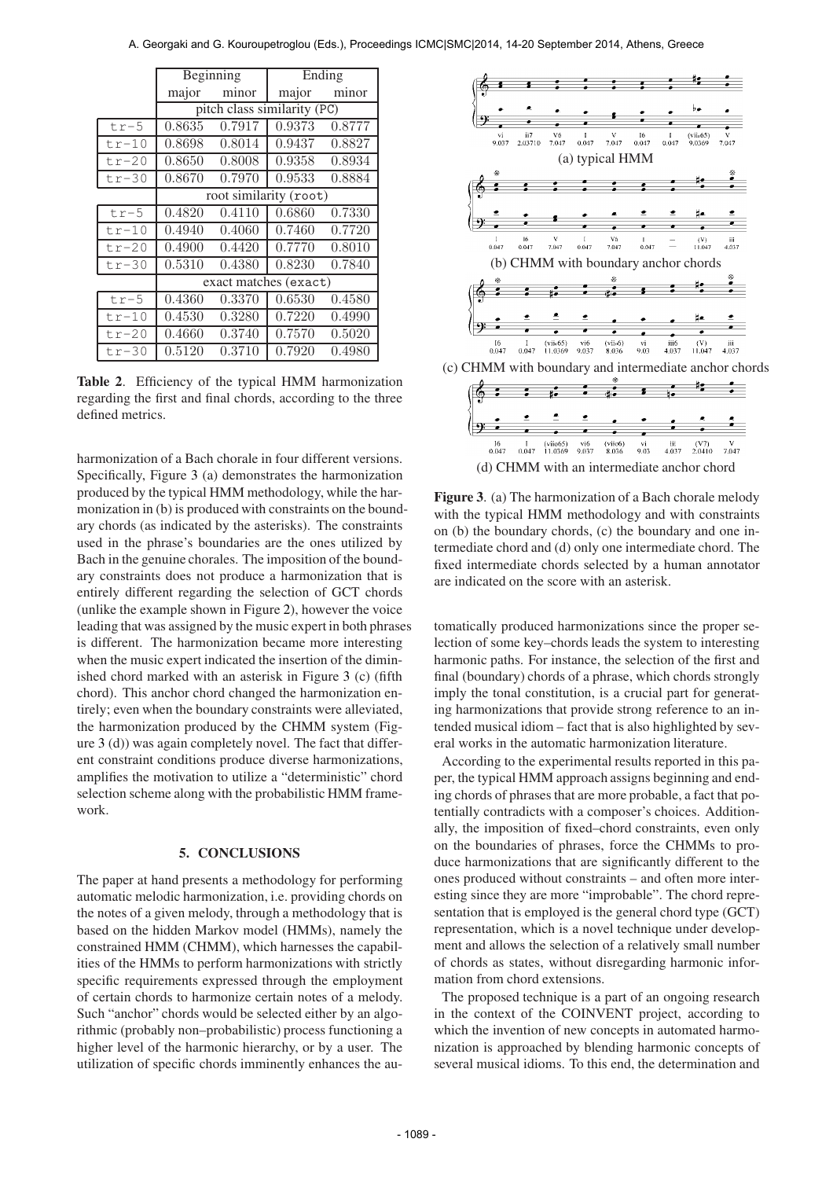|         |                             | Beginning | Ending |        |  |  |  |  |
|---------|-----------------------------|-----------|--------|--------|--|--|--|--|
|         | major                       | minor     | major  | minor  |  |  |  |  |
|         | pitch class similarity (PC) |           |        |        |  |  |  |  |
| $tr-5$  | 0.8635                      | 0.7917    | 0.9373 | 0.8777 |  |  |  |  |
| $tr-10$ | 0.8698                      | 0.8014    | 0.9437 | 0.8827 |  |  |  |  |
| $tr-20$ | 0.8650                      | 0.8008    | 0.9358 | 0.8934 |  |  |  |  |
| $tr-30$ | 0.8670                      | 0.7970    | 0.9533 | 0.8884 |  |  |  |  |
|         | root similarity (root)      |           |        |        |  |  |  |  |
| $tr-5$  | 0.4820                      | 0.4110    | 0.6860 | 0.7330 |  |  |  |  |
| $tr-10$ | 0.4940                      | 0.4060    | 0.7460 | 0.7720 |  |  |  |  |
| $tr-20$ | 0.4900                      | 0.4420    | 0.7770 | 0.8010 |  |  |  |  |
| $tr-30$ | 0.5310                      | 0.4380    | 0.8230 | 0.7840 |  |  |  |  |
|         | exact matches (exact)       |           |        |        |  |  |  |  |
| $tr-5$  | 0.4360                      | 0.3370    | 0.6530 | 0.4580 |  |  |  |  |
| $tr-10$ | 0.4530                      | 0.3280    | 0.7220 | 0.4990 |  |  |  |  |
| $tr-20$ | 0.4660                      | 0.3740    | 0.7570 | 0.5020 |  |  |  |  |
| $tr-30$ | 0.5120                      | 0.3710    | 0.7920 | 0.4980 |  |  |  |  |

A. Georgaki and G. Kouroupetroglou (Eds.), Proceedings ICMC|SMC|2014, 14-20 September 2014, Athens, Greece

Table 2. Efficiency of the typical HMM harmonization regarding the first and final chords, according to the three defined metrics.

harmonization of a Bach chorale in four different versions. Specifically, Figure 3 (a) demonstrates the harmonization produced by the typical HMM methodology, while the harmonization in (b) is produced with constraints on the boundary chords (as indicated by the asterisks). The constraints used in the phrase's boundaries are the ones utilized by Bach in the genuine chorales. The imposition of the boundary constraints does not produce a harmonization that is entirely different regarding the selection of GCT chords (unlike the example shown in Figure 2), however the voice leading that was assigned by the music expert in both phrases is different. The harmonization became more interesting when the music expert indicated the insertion of the diminished chord marked with an asterisk in Figure 3 (c) (fifth chord). This anchor chord changed the harmonization entirely; even when the boundary constraints were alleviated, the harmonization produced by the CHMM system (Figure 3 (d)) was again completely novel. The fact that different constraint conditions produce diverse harmonizations, amplifies the motivation to utilize a "deterministic" chord selection scheme along with the probabilistic HMM framework.

# 5. CONCLUSIONS

The paper at hand presents a methodology for performing automatic melodic harmonization, i.e. providing chords on the notes of a given melody, through a methodology that is based on the hidden Markov model (HMMs), namely the constrained HMM (CHMM), which harnesses the capabilities of the HMMs to perform harmonizations with strictly specific requirements expressed through the employment of certain chords to harmonize certain notes of a melody. Such "anchor" chords would be selected either by an algorithmic (probably non–probabilistic) process functioning a higher level of the harmonic hierarchy, or by a user. The utilization of specific chords imminently enhances the au-



Figure 3. (a) The harmonization of a Bach chorale melody with the typical HMM methodology and with constraints on (b) the boundary chords, (c) the boundary and one intermediate chord and (d) only one intermediate chord. The fixed intermediate chords selected by a human annotator are indicated on the score with an asterisk.

tomatically produced harmonizations since the proper selection of some key–chords leads the system to interesting harmonic paths. For instance, the selection of the first and final (boundary) chords of a phrase, which chords strongly imply the tonal constitution, is a crucial part for generating harmonizations that provide strong reference to an intended musical idiom – fact that is also highlighted by several works in the automatic harmonization literature.

According to the experimental results reported in this paper, the typical HMM approach assigns beginning and ending chords of phrases that are more probable, a fact that potentially contradicts with a composer's choices. Additionally, the imposition of fixed–chord constraints, even only on the boundaries of phrases, force the CHMMs to produce harmonizations that are significantly different to the ones produced without constraints – and often more interesting since they are more "improbable". The chord representation that is employed is the general chord type (GCT) representation, which is a novel technique under development and allows the selection of a relatively small number of chords as states, without disregarding harmonic information from chord extensions.

The proposed technique is a part of an ongoing research in the context of the COINVENT project, according to which the invention of new concepts in automated harmonization is approached by blending harmonic concepts of several musical idioms. To this end, the determination and